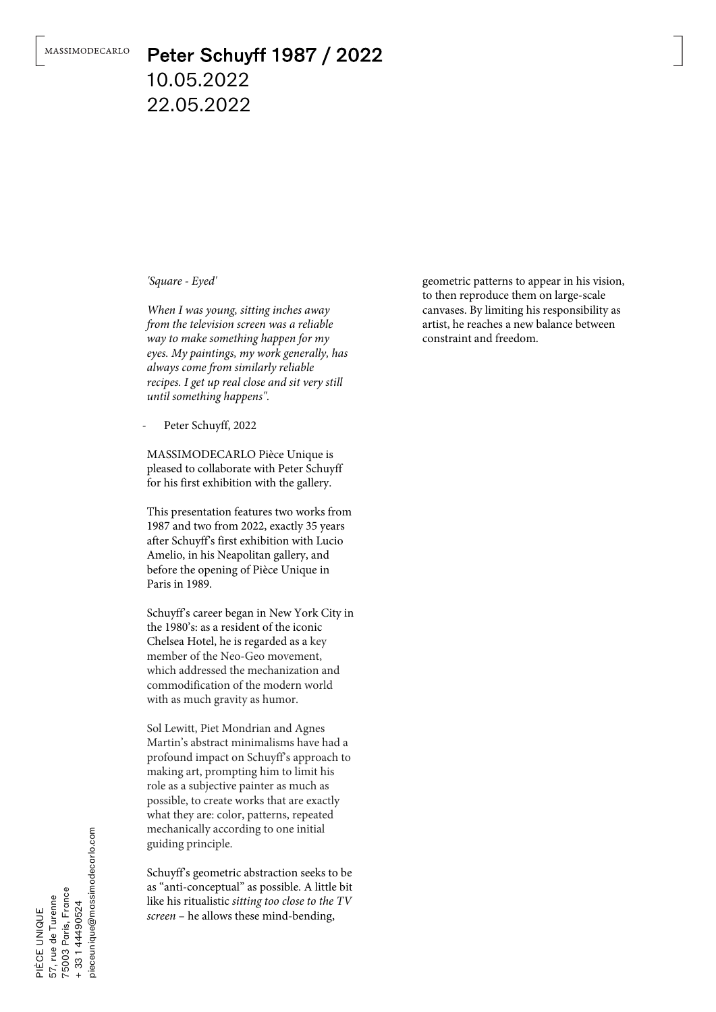## Peter Schuyff 1987 / 2022 10.05.2022 22.05.2022

*'Square - Eyed'*

*When I was young, sitting inches away from the television screen was a reliable way to make something happen for my eyes. My paintings, my work generally, has always come from similarly reliable recipes. I get up real close and sit very still until something happens".*

Peter Schuyff, 2022

MASSIMODECARLO Pièce Unique is pleased to collaborate with Peter Schuyff for his first exhibition with the gallery.

This presentation features two works from 1987 and two from 2022, exactly 35 years after Schuyff's first exhibition with Lucio Amelio, in his Neapolitan gallery, and before the opening of Pièce Unique in Paris in 1989.

Schuyff's career began in New York City in the 1980's: as a resident of the iconic Chelsea Hotel, he is regarded as a key member of the Neo-Geo movement, which addressed the mechanization and commodification of the modern world with as much gravity as humor.

Sol Lewitt, Piet Mondrian and Agnes Martin's abstract minimalisms have had a profound impact on Schuyff's approach to making art, prompting him to limit his role as a subjective painter as much as possible, to create works that are exactly what they are: color, patterns, repeated mechanically according to one initial guiding principle.

Schuyff's geometric abstraction seeks to be as "anti-conceptual" as possible. A little bit like his ritualistic *sitting too close to the TV screen* – he allows these mind-bending,

geometric patterns to appear in his vision, to then reproduce them on large-scale canvases. By limiting his responsibility as artist, he reaches a new balance between constraint and freedom.